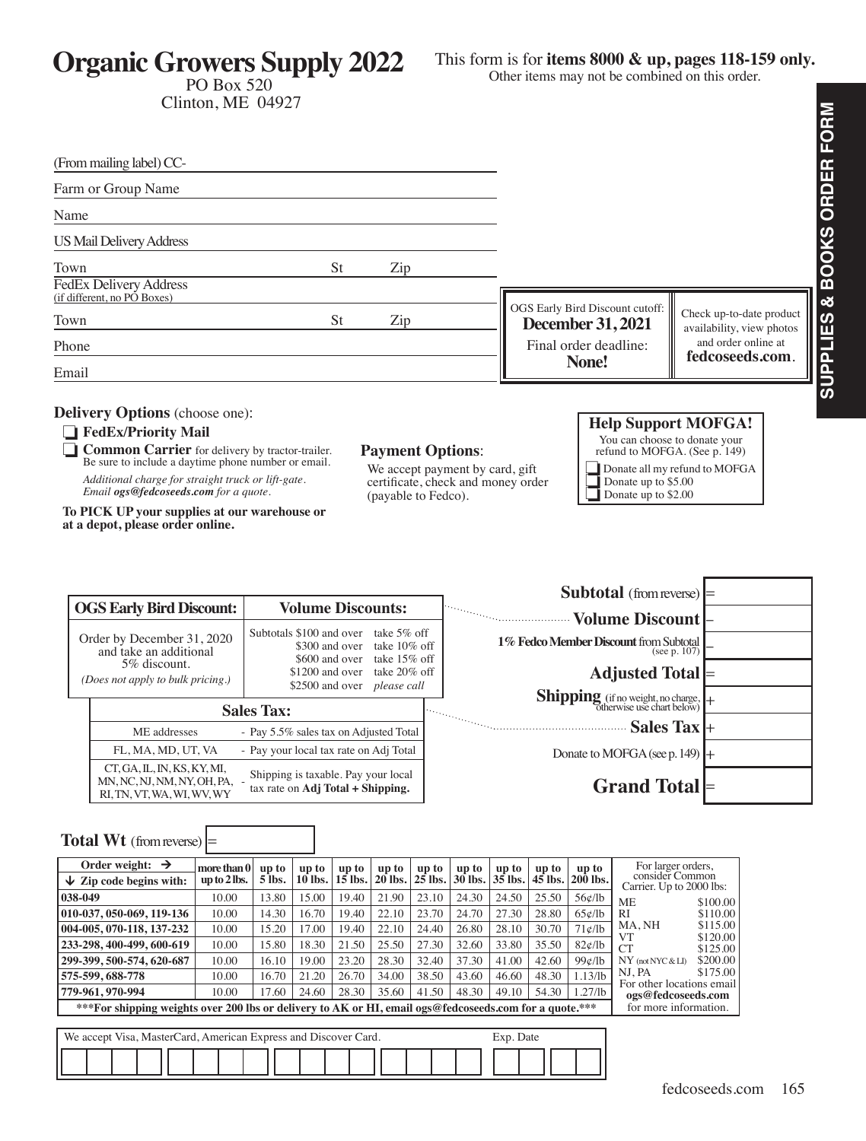**Organic Growers Supply 2022** PO Box 520

Clinton, ME 04927

This form is for **items 8000 & up, pages 118-159 only.** 

**SUPPLIES & BOOKS ORDER FORM**

Other items may not be combined on this order.

**SUPPLIES & BOOKS ORDER FORM** (From mailing label) CC-Farm or Group Name Name US Mail Delivery Address Town St Zip FedEx Delivery Address (if different, no PO Boxes) OGS Early Bird Discount cutoff: Check up-to-date product Town St Zip **December 31, 2021** availability, view photos and order online at Final order deadline: Phone **fedcoseeds.com**. **None!** Email **Delivery Options** (choose one): **Help Support MOFGA!** ❏ **FedEx/Priority Mail** You can choose to donate your ❏ **Common Carrier** for delivery by tractor-trailer. **Payment Options**: refund to MOFGA. (See p. 149) Be sure to include a daytime phone number or email. ❏Donate all my refund to MOFGA We accept payment by card, gift *Additional charge for straight truck or lift-gate. Email ogs@fedcoseeds.com for a quote.* certificate, check and money order ❏ Donate up to \$5.00 (payable to Fedco). Donate up to \$2.00 **To PICK UP your supplies at our warehouse or at a depot, please order online. Subtotal** (from reverse) **OGS Early Bird Discount: Volume Discounts: Volume Discount** – Subtotals \$100 and over take 5% off Order by December 31, 2020 **1% Fedco Member Discount** from Subtotal (see p. 107) – \$300 and over take 10% off and take an additional \$600 and over take 15% off 5% discount. **Adjusted Total** \$1200 and over take 20% off *(Does not apply to bulk pricing.)* \$2500 and over *please call* **Shipping** (if no weight, no charge, otherwise use chart below) **Sales Tax: Sales Tax** + ME addresses - Pay 5.5% sales tax on Adjusted Total FL, MA, MD, UT, VA - Pay your local tax rate on Adj Total Donate to MOFGA (see p. 149) CT, GA, IL, IN, KS, KY, MI, Shipping is taxable. Pay your local MN, NC, NJ, NM, NY, OH, PA, **Grand Total** tax rate on **Adj Total + Shipping.** RI, TN, VT, WA, WI, WV, WY **Total Wt** (from reverse)  $=$ Order weight:  $\rightarrow$   $\vert$  more than 0 For larger orders, **up to up to up to up to up to up to up to up to up to** consider Common ↓ Zip code begins with: **up to 2 lbs. 5 lbs. 10 lbs. 15 lbs. 20 lbs. 25 lbs. 30 lbs. 35 lbs. 45 lbs. 200 lbs.** Carrier. Up to 2000 lbs: **038-049** 10.00 13.80 15.00 19.40 21.90 23.10 24.30 24.50 25.50 56¢/lb ME \$100.00<br>RI \$110.00 **010-037, 050-069, 119-136** 10.00 14.30 16.70 19.40 22.10 23.70 24.70 27.30 28.80 65¢/lb RI \$110.00<br>MANH \$115.00 MA, NH \$115.00<br>VT \$120.00 **004-005, 070-118, 137-232** 10.00 15.20 17.00 19.40 22.10 24.40 26.80 28.10 30.70 71¢/lb VT \$120.00<br>CT \$125.00 **233-298, 400-499, 600-619** 10.00 15.80 18.30 21.50 25.50 27.30 32.60 33.80 35.50 82¢/lb  $$125.00$ <br> $$200.00$ **299-399, 500-574, 620-687** 10.00 16.10 19.00 23.20 28.30 32.40 37.30 41.00 42.60 99¢/lb NY (not NYC & LI) \$200.00<br>NJ, PA \$175.00 NJ, PA **575-599, 688-778** 10.00 16.70 21.20 26.70 34.00 38.50 43.60 46.60 48.30 1.13/lb

**779-961, 970-994** 10.00 17.60 24.60 28.30 35.60 41.50 48.30 49.10 54.30 1.27/lb

For other locations email **ogs@fedcoseeds.com**  for more information.